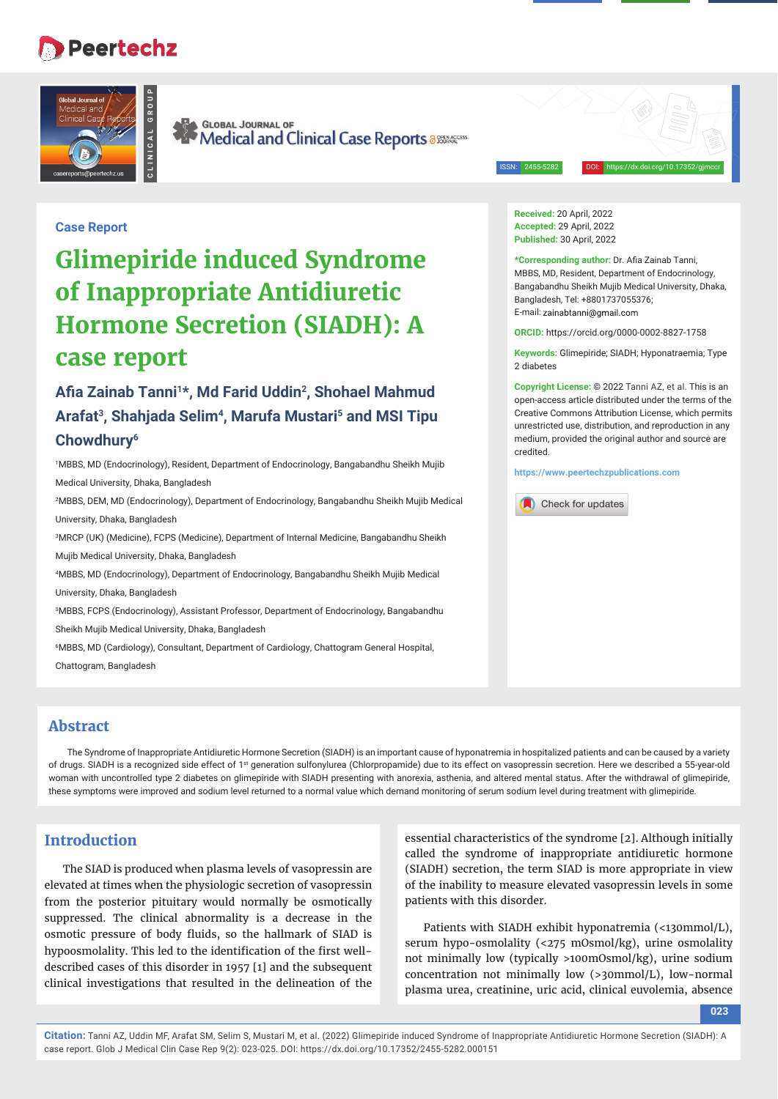## **Peertechz**



**GLOBAL JOURNAL OF** Medical and Clinical Case Reports a SESEARCES

ISSN: 2455-5282 DOI: https://dx.doi.org/10.17352/gjmccr

2 diabetes

credited.

**Received:** 20 April, 2022 **Accepted:** 29 April, 2022 **Published:** 30 April, 2022

\*Corresponding author: Dr. Afia Zainab Tanni, MBBS, MD, Resident, Department of Endocrinology, Bangabandhu Sheikh Mujib Medical University, Dhaka,

**ORCID:** https://orcid.org/0000-0002-8827-1758 **Keywords:** Glimepiride; SIADH; Hyponatraemia; Type

**https://www.peertechzpublications.com**

Check for updates

**Copyright License:** © 2022 Tanni AZ, et al. This is an open-access article distributed under the terms of the Creative Commons Attribution License, which permits unrestricted use, distribution, and reproduction in any medium, provided the original author and source are

Bangladesh, Tel: +8801737055376; E-mail: zainahtanni@gmail.com

### **Case Report**

# **Glimepiride induced Syndrome of Inappropriate Antidiuretic Hormone Secretion (SIADH): A case report**

## Afia Zainab Tanni<sup>1\*</sup>, Md Farid Uddin<sup>2</sup>, Shohael Mahmud **Arafat3, Shahjada Selim4, Marufa Mustari5 and MSI Tipu Chowdhury6**

1 MBBS, MD (Endocrinology), Resident, Department of Endocrinology, Bangabandhu Sheikh Mujib Medical University, Dhaka, Bangladesh

2 MBBS, DEM, MD (Endocrinology), Department of Endocrinology, Bangabandhu Sheikh Mujib Medical University, Dhaka, Bangladesh

3 MRCP (UK) (Medicine), FCPS (Medicine), Department of Internal Medicine, Bangabandhu Sheikh

Mujib Medical University, Dhaka, Bangladesh

4 MBBS, MD (Endocrinology), Department of Endocrinology, Bangabandhu Sheikh Mujib Medical

University, Dhaka, Bangladesh

5 MBBS, FCPS (Endocrinology), Assistant Professor, Department of Endocrinology, Bangabandhu

Sheikh Mujib Medical University, Dhaka, Bangladesh

6 MBBS, MD (Cardiology), Consultant, Department of Cardiology, Chattogram General Hospital,

Chattogram, Bangladesh

### **Abstract**

The Syndrome of Inappropriate Antidiuretic Hormone Secretion (SIADH) is an important cause of hyponatremia in hospitalized patients and can be caused by a variety of drugs. SIADH is a recognized side effect of 1st generation sulfonylurea (Chlorpropamide) due to its effect on vasopressin secretion. Here we described a 55-year-old woman with uncontrolled type 2 diabetes on glimepiride with SIADH presenting with anorexia, asthenia, and altered mental status. After the withdrawal of glimepiride, these symptoms were improved and sodium level returned to a normal value which demand monitoring of serum sodium level during treatment with glimepiride.

### **Introduction**

The SIAD is produced when plasma levels of vasopressin are elevated at times when the physiologic secretion of vasopressin from the posterior pituitary would normally be osmotically suppressed. The clinical abnormality is a decrease in the osmotic pressure of body fluids, so the hallmark of SIAD is hypoosmolality. This led to the identification of the first welldescribed cases of this disorder in 1957 [1] and the subsequent clinical investigations that resulted in the delineation of the

essential characteristics of the syndrome [2]. Although initially called the syndrome of inappropriate antidiuretic hormone (SIADH) secretion, the term SIAD is more appropriate in view of the inability to measure elevated vasopressin levels in some patients with this disorder.

Patients with SIADH exhibit hyponatremia (<130mmol/L), serum hypo-osmolality (<275 mOsmol/kg), urine osmolality not minimally low (typically >100mOsmol/kg), urine sodium concentration not minimally low (>30mmol/L), low-normal plasma urea, creatinine, uric acid, clinical euvolemia, absence

**023**

**Citation:** Tanni AZ, Uddin MF, Arafat SM, Selim S, Mustari M, et al. (2022) Glimepiride induced Syndrome of Inappropriate Antidiuretic Hormone Secretion (SIADH): A case report. Glob J Medical Clin Case Rep 9(2): 023-025. DOI: https://dx.doi.org/10.17352/2455-5282.000151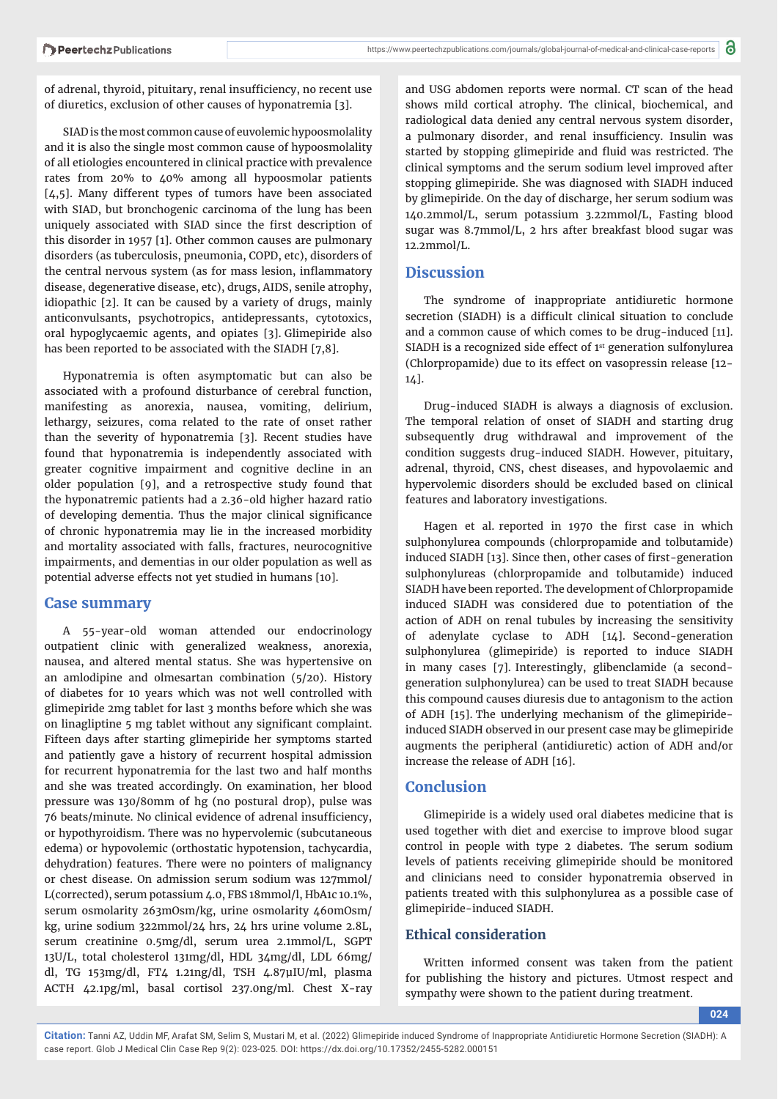of adrenal, thyroid, pituitary, renal insufficiency, no recent use of diuretics, exclusion of other causes of hyponatremia [3].

SIAD is the most common cause of euvolemic hypoosmolality and it is also the single most common cause of hypoosmolality of all etiologies encountered in clinical practice with prevalence rates from 20% to 40% among all hypoosmolar patients [4,5]. Many different types of tumors have been associated with SIAD, but bronchogenic carcinoma of the lung has been uniquely associated with SIAD since the first description of this disorder in 1957 [1]. Other common causes are pulmonary disorders (as tuberculosis, pneumonia, COPD, etc), disorders of the central nervous system (as for mass lesion, inflammatory disease, degenerative disease, etc), drugs, AIDS, senile atrophy, idiopathic [2]. It can be caused by a variety of drugs, mainly anticonvulsants, psychotropics, antidepressants, cytotoxics, oral hypoglycaemic agents, and opiates [3]. Glimepiride also has been reported to be associated with the SIADH [7,8].

Hyponatremia is often asymptomatic but can also be associated with a profound disturbance of cerebral function, manifesting as anorexia, nausea, vomiting, delirium, lethargy, seizures, coma related to the rate of onset rather than the severity of hyponatremia [3]. Recent studies have found that hyponatremia is independently associated with greater cognitive impairment and cognitive decline in an older population [9], and a retrospective study found that the hyponatremic patients had a 2.36-old higher hazard ratio of developing dementia. Thus the major clinical significance of chronic hyponatremia may lie in the increased morbidity and mortality associated with falls, fractures, neurocognitive impairments, and dementias in our older population as well as potential adverse effects not yet studied in humans [10].

#### **Case summary**

A 55-year-old woman attended our endocrinology outpatient clinic with generalized weakness, anorexia, nausea, and altered mental status. She was hypertensive on an amlodipine and olmesartan combination (5/20). History of diabetes for 10 years which was not well controlled with glimepiride 2mg tablet for last 3 months before which she was on linagliptine 5 mg tablet without any significant complaint. Fifteen days after starting glimepiride her symptoms started and patiently gave a history of recurrent hospital admission for recurrent hyponatremia for the last two and half months and she was treated accordingly. On examination, her blood pressure was 130/80mm of hg (no postural drop), pulse was 76 beats/minute. No clinical evidence of adrenal insufficiency, or hypothyroidism. There was no hypervolemic (subcutaneous edema) or hypovolemic (orthostatic hypotension, tachycardia, dehydration) features. There were no pointers of malignancy or chest disease. On admission serum sodium was 127mmol/ L(corrected), serum potassium 4.0, FBS 18mmol/l, HbA1c 10.1%, serum osmolarity 263mOsm/kg, urine osmolarity 460mOsm/ kg, urine sodium 322mmol/24 hrs, 24 hrs urine volume 2.8L, serum creatinine 0.5mg/dl, serum urea 2.1mmol/L, SGPT 13U/L, total cholesterol 131mg/dl, HDL 34mg/dl, LDL 66mg/ dl, TG 153mg/dl, FT4 1.21ng/dl, TSH 4.87μIU/ml, plasma ACTH 42.1pg/ml, basal cortisol 237.0ng/ml. Chest X-ray

and USG abdomen reports were normal. CT scan of the head shows mild cortical atrophy. The clinical, biochemical, and radiological data denied any central nervous system disorder, a pulmonary disorder, and renal insufficiency. Insulin was started by stopping glimepiride and fluid was restricted. The clinical symptoms and the serum sodium level improved after stopping glimepiride. She was diagnosed with SIADH induced by glimepiride. On the day of discharge, her serum sodium was 140.2mmol/L, serum potassium 3.22mmol/L, Fasting blood sugar was 8.7mmol/L, 2 hrs after breakfast blood sugar was 12.2mmol/L.

#### **Discussion**

The syndrome of inappropriate antidiuretic hormone secretion (SIADH) is a difficult clinical situation to conclude and a common cause of which comes to be drug-induced [11]. SIADH is a recognized side effect of  $1<sup>st</sup>$  generation sulfonylurea (Chlorpropamide) due to its effect on vasopressin release [12- 14].

Drug-induced SIADH is always a diagnosis of exclusion. The temporal relation of onset of SIADH and starting drug subsequently drug withdrawal and improvement of the condition suggests drug-induced SIADH. However, pituitary, adrenal, thyroid, CNS, chest diseases, and hypovolaemic and hypervolemic disorders should be excluded based on clinical features and laboratory investigations.

Hagen et al. reported in 1970 the first case in which sulphonylurea compounds (chlorpropamide and tolbutamide) induced SIADH [13]. Since then, other cases of first-generation sulphonylureas (chlorpropamide and tolbutamide) induced SIADH have been reported. The development of Chlorpropamide induced SIADH was considered due to potentiation of the action of ADH on renal tubules by increasing the sensitivity of adenylate cyclase to ADH [14]. Second-generation sulphonylurea (glimepiride) is reported to induce SIADH in many cases [7]. Interestingly, glibenclamide (a secondgeneration sulphonylurea) can be used to treat SIADH because this compound causes diuresis due to antagonism to the action of ADH [15]. The underlying mechanism of the glimepirideinduced SIADH observed in our present case may be glimepiride augments the peripheral (antidiuretic) action of ADH and/or increase the release of ADH [16].

### **Conclusion**

Glimepiride is a widely used oral diabetes medicine that is used together with diet and exercise to improve blood sugar control in people with type 2 diabetes. The serum sodium levels of patients receiving glimepiride should be monitored and clinicians need to consider hyponatremia observed in patients treated with this sulphonylurea as a possible case of glimepiride-induced SIADH.

### **Ethical consideration**

Written informed consent was taken from the patient for publishing the history and pictures. Utmost respect and sympathy were shown to the patient during treatment.

**024**

**Citation:** Tanni AZ, Uddin MF, Arafat SM, Selim S, Mustari M, et al. (2022) Glimepiride induced Syndrome of Inappropriate Antidiuretic Hormone Secretion (SIADH): A case report. Glob J Medical Clin Case Rep 9(2): 023-025. DOI: https://dx.doi.org/10.17352/2455-5282.000151